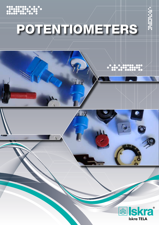